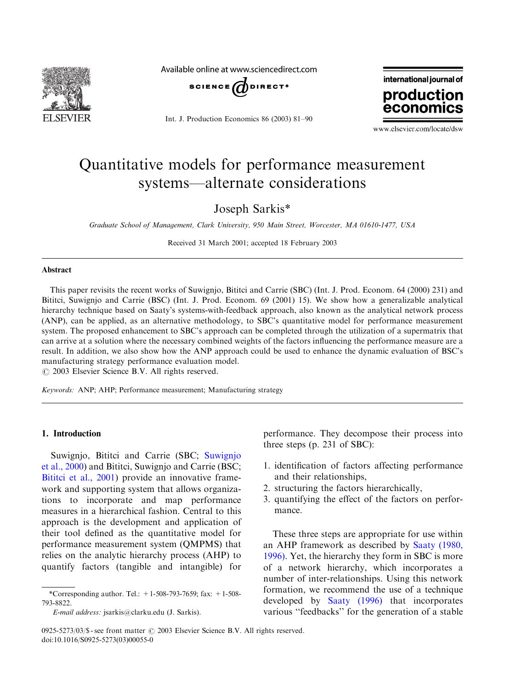

Available online at www.sciencedirect.com



Int. J. Production Economics 86 (2003) 81–90



www.elsevier.com/locate/dsw

## Quantitative models for performance measurement systems—alternate considerations

Joseph Sarkis\*

Graduate School of Management, Clark University, 950 Main Street, Worcester, MA 01610-1477, USA

Received 31 March 2001; accepted 18 February 2003

#### Abstract

This paper revisits the recent works of Suwignjo, Bititci and Carrie (SBC) (Int. J. Prod. Econom. 64 (2000) 231) and Bititci, Suwignjo and Carrie (BSC) (Int. J. Prod. Econom. 69 (2001) 15). We show how a generalizable analytical hierarchy technique based on Saaty's systems-with-feedback approach, also known as the analytical network process (ANP), can be applied, as an alternative methodology, to SBC's quantitative model for performance measurement system. The proposed enhancement to SBC's approach can be completed through the utilization of a supermatrix that can arrive at a solution where the necessary combined weights of the factors influencing the performance measure are a result. In addition, we also show how the ANP approach could be used to enhance the dynamic evaluation of BSC's manufacturing strategy performance evaluation model.

 $\odot$  2003 Elsevier Science B.V. All rights reserved.

Keywords: ANP; AHP; Performance measurement; Manufacturing strategy

#### 1. Introduction

Suwignjo, Bititci and Carrie (SBC; [Suwignjo](#page--1-0) [et al., 2000](#page--1-0)) and Bititci, Suwignjo and Carrie (BSC; [Bititci et al., 2001](#page--1-0)) provide an innovative framework and supporting system that allows organizations to incorporate and map performance measures in a hierarchical fashion. Central to this approach is the development and application of their tool defined as the quantitative model for performance measurement system (QMPMS) that relies on the analytic hierarchy process (AHP) to quantify factors (tangible and intangible) for

performance. They decompose their process into three steps (p. 231 of SBC):

- 1. identification of factors affecting performance and their relationships,
- 2. structuring the factors hierarchically,
- 3. quantifying the effect of the factors on performance.

These three steps are appropriate for use within an AHP framework as described by [Saaty \(1980,](#page--1-0) [1996\)](#page--1-0). Yet, the hierarchy they form in SBC is more of a network hierarchy, which incorporates a number of inter-relationships. Using this network formation, we recommend the use of a technique developed by [Saaty \(1996\)](#page--1-0) that incorporates various ''feedbacks'' for the generation of a stable

<sup>\*</sup>Corresponding author. Tel.:  $+1-508-793-7659$ ; fax:  $+1-508-$ 793-8822.

E-mail address: jsarkis@clarku.edu (J. Sarkis).

 $0925-5273/03/\$$  - see front matter  $\circ$  2003 Elsevier Science B.V. All rights reserved. doi:10.1016/S0925-5273(03)00055-0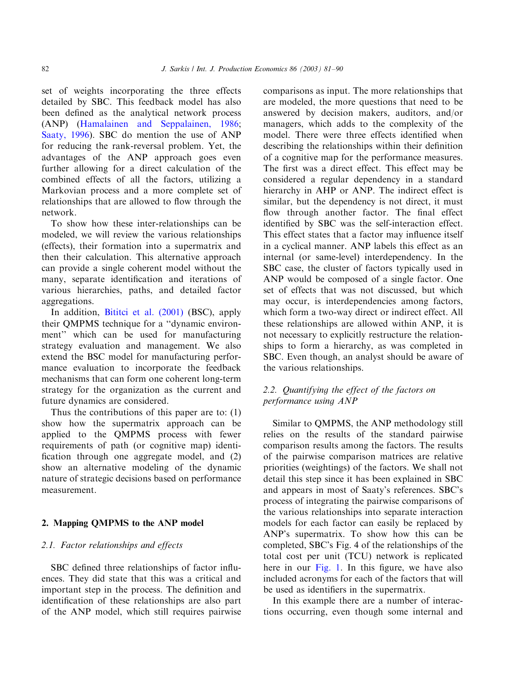set of weights incorporating the three effects detailed by SBC. This feedback model has also been defined as the analytical network process (ANP) [\(Hamalainen and Seppalainen, 1986](#page--1-0); [Saaty, 1996](#page--1-0)). SBC do mention the use of ANP for reducing the rank-reversal problem. Yet, the advantages of the ANP approach goes even further allowing for a direct calculation of the combined effects of all the factors, utilizing a Markovian process and a more complete set of relationships that are allowed to flow through the network.

To show how these inter-relationships can be modeled, we will review the various relationships (effects), their formation into a supermatrix and then their calculation. This alternative approach can provide a single coherent model without the many, separate identification and iterations of various hierarchies, paths, and detailed factor aggregations.

In addition, [Bititci et al. \(2001\)](#page--1-0) (BSC), apply their QMPMS technique for a ''dynamic environment'' which can be used for manufacturing strategy evaluation and management. We also extend the BSC model for manufacturing performance evaluation to incorporate the feedback mechanisms that can form one coherent long-term strategy for the organization as the current and future dynamics are considered.

Thus the contributions of this paper are to: (1) show how the supermatrix approach can be applied to the QMPMS process with fewer requirements of path (or cognitive map) identification through one aggregate model, and (2) show an alternative modeling of the dynamic nature of strategic decisions based on performance measurement.

#### 2. Mapping QMPMS to the ANP model

## 2.1. Factor relationships and effects

SBC defined three relationships of factor influences. They did state that this was a critical and important step in the process. The definition and identification of these relationships are also part of the ANP model, which still requires pairwise comparisons as input. The more relationships that are modeled, the more questions that need to be answered by decision makers, auditors, and/or managers, which adds to the complexity of the model. There were three effects identified when describing the relationships within their definition of a cognitive map for the performance measures. The first was a direct effect. This effect may be considered a regular dependency in a standard hierarchy in AHP or ANP. The indirect effect is similar, but the dependency is not direct, it must flow through another factor. The final effect identified by SBC was the self-interaction effect. This effect states that a factor may influence itself in a cyclical manner. ANP labels this effect as an internal (or same-level) interdependency. In the SBC case, the cluster of factors typically used in ANP would be composed of a single factor. One set of effects that was not discussed, but which may occur, is interdependencies among factors, which form a two-way direct or indirect effect. All these relationships are allowed within ANP, it is not necessary to explicitly restructure the relationships to form a hierarchy, as was completed in SBC. Even though, an analyst should be aware of the various relationships.

## 2.2. Quantifying the effect of the factors on performance using ANP

Similar to QMPMS, the ANP methodology still relies on the results of the standard pairwise comparison results among the factors. The results of the pairwise comparison matrices are relative priorities (weightings) of the factors. We shall not detail this step since it has been explained in SBC and appears in most of Saaty's references. SBC's process of integrating the pairwise comparisons of the various relationships into separate interaction models for each factor can easily be replaced by ANP's supermatrix. To show how this can be completed, SBC's Fig. 4 of the relationships of the total cost per unit (TCU) network is replicated here in our [Fig. 1.](#page--1-0) In this figure, we have also included acronyms for each of the factors that will be used as identifiers in the supermatrix.

In this example there are a number of interactions occurring, even though some internal and